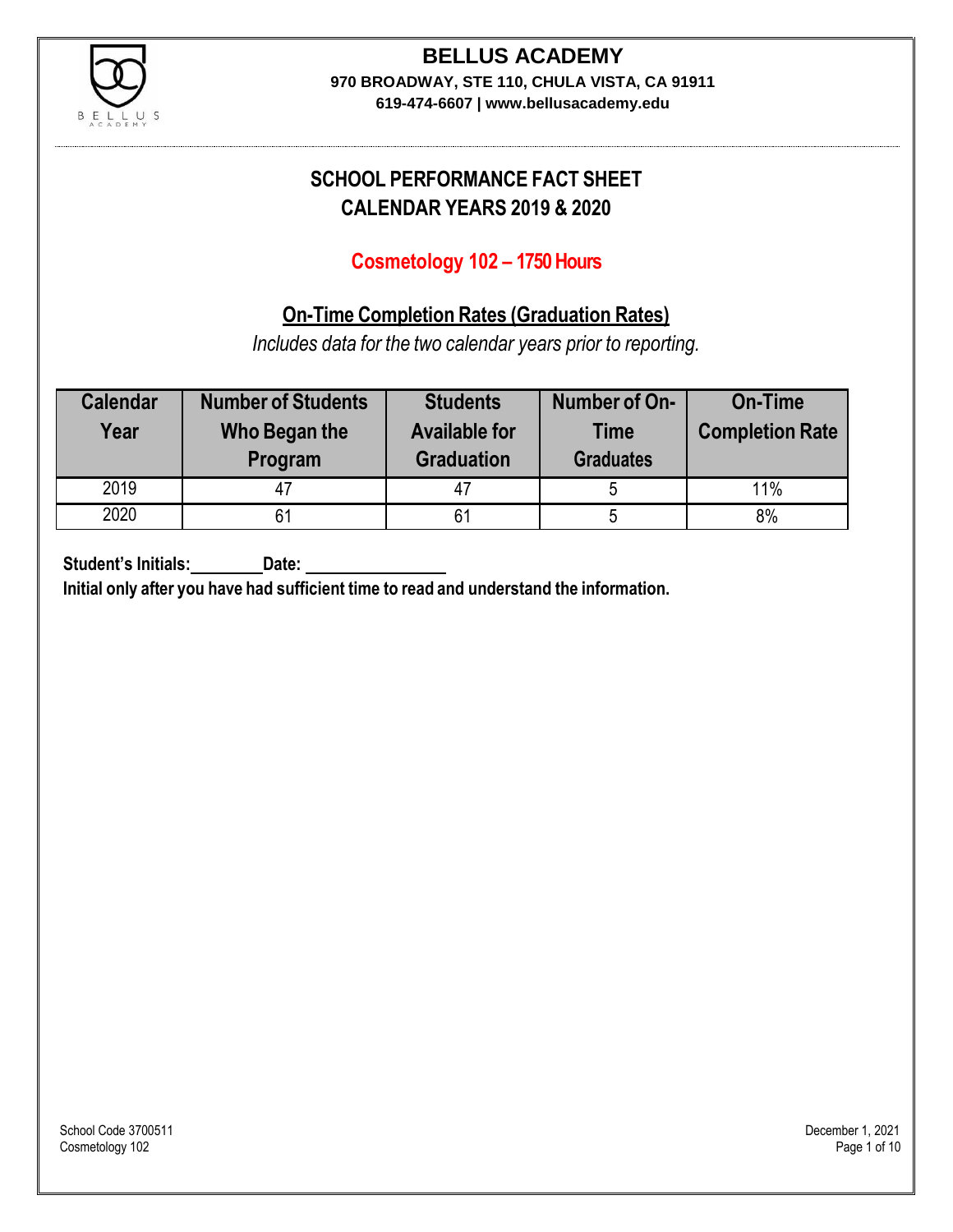

### **BELLUS ACADEMY 970 BROADWAY, STE 110, CHULA VISTA, CA 91911**

**619-474-6607 | www.bellusacademy.edu**

## **SCHOOL PERFORMANCE FACT SHEET CALENDAR YEARS 2019 & 2020**

### **Cosmetology 102 – 1750 Hours**

### **On-Time Completion Rates (Graduation Rates)**

*Includes data for the two calendar years prior to reporting.*

| <b>Calendar</b><br>Year | <b>Number of Students</b><br>Who Began the<br>Program | <b>Students</b><br><b>Available for</b><br><b>Graduation</b> | Number of On-<br><b>Time</b><br><b>Graduates</b> | <b>On-Time</b><br><b>Completion Rate</b> |
|-------------------------|-------------------------------------------------------|--------------------------------------------------------------|--------------------------------------------------|------------------------------------------|
| 2019                    |                                                       | 47                                                           |                                                  | 11%                                      |
| 2020                    |                                                       | 61                                                           | Ð                                                | 8%                                       |

**Student's Initials: Date:**

**Initial only after you have had sufficient time to read and understand the information.**

School Code 3700511 December 1, 2021<br>Cosmetology 102 Page 1 of 10 Cosmetology 102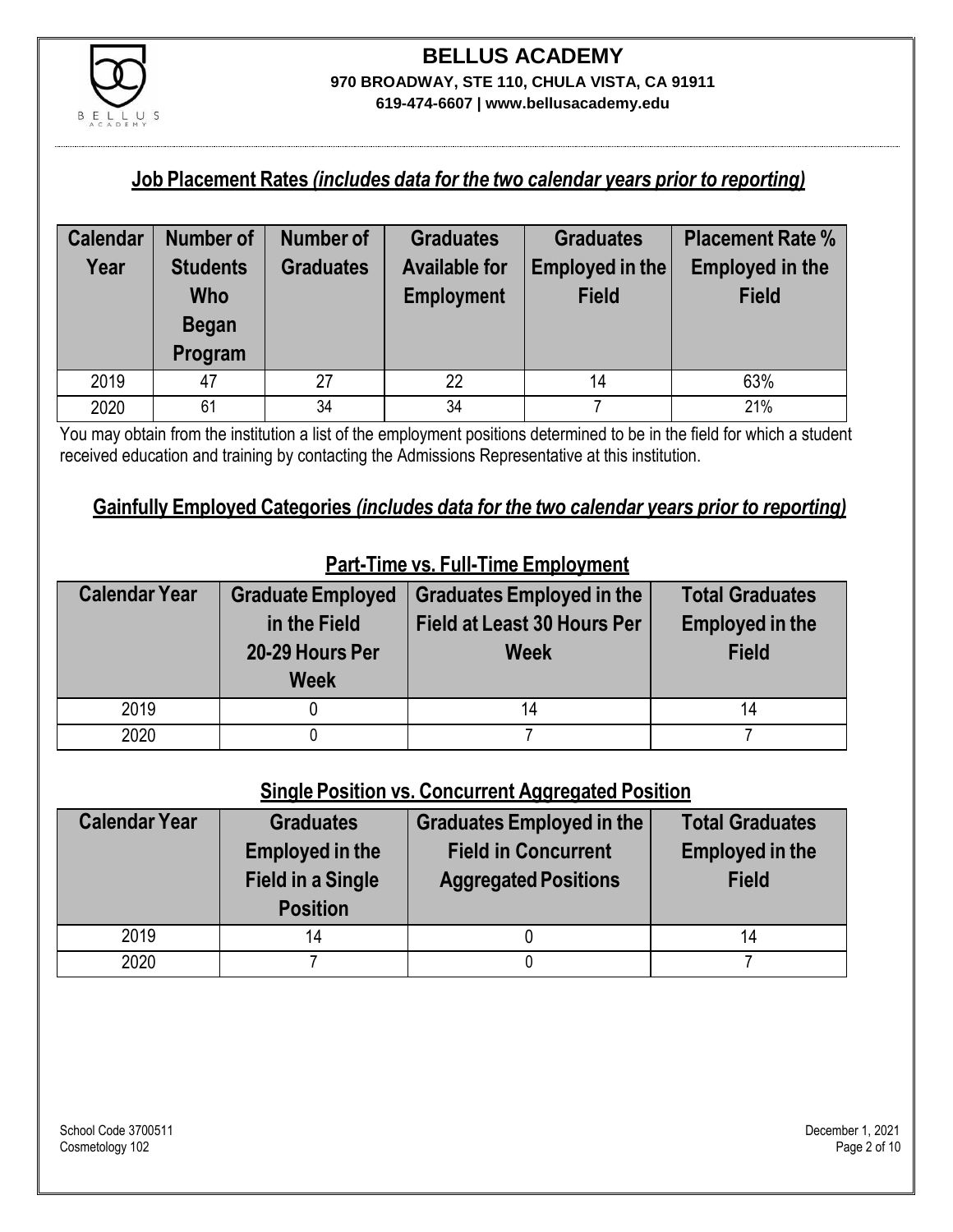

#### **Job Placement Rates** *(includes data for the two calendar years prior to reporting)*

| <b>Calendar</b> | <b>Number of</b> | Number of        | <b>Graduates</b>     | <b>Graduates</b> | <b>Placement Rate %</b> |
|-----------------|------------------|------------------|----------------------|------------------|-------------------------|
| Year            | <b>Students</b>  | <b>Graduates</b> | <b>Available for</b> | Employed in the  | <b>Employed in the</b>  |
|                 | <b>Who</b>       |                  | <b>Employment</b>    | <b>Field</b>     | <b>Field</b>            |
|                 | <b>Began</b>     |                  |                      |                  |                         |
|                 | Program          |                  |                      |                  |                         |
| 2019            | 47               | 27               | 22                   | 14               | 63%                     |
| 2020            | 61               | 34               | 34                   |                  | 21%                     |

You may obtain from the institution a list of the employment positions determined to be in the field for which a student received education and training by contacting the Admissions Representative at this institution.

#### **Gainfully Employed Categories** *(includes data for the two calendar years prior to reporting)*

| <b>Calendar Year</b> | <b>Graduate Employed</b><br>in the Field<br>20-29 Hours Per<br><b>Week</b> | <b>Graduates Employed in the</b><br><b>Field at Least 30 Hours Per</b><br><b>Week</b> | <b>Total Graduates</b><br><b>Employed in the</b><br><b>Field</b> |
|----------------------|----------------------------------------------------------------------------|---------------------------------------------------------------------------------------|------------------------------------------------------------------|
| 2019                 |                                                                            | 14                                                                                    | 14                                                               |
| 2020                 |                                                                            |                                                                                       |                                                                  |

### **Part-Time vs. Full-Time Employment**

### **Single Position vs. Concurrent Aggregated Position**

| <b>Calendar Year</b> | <b>Graduates</b><br><b>Employed in the</b><br><b>Field in a Single</b><br><b>Position</b> | <b>Graduates Employed in the</b><br><b>Field in Concurrent</b><br><b>Aggregated Positions</b> | <b>Total Graduates</b><br><b>Employed in the</b><br><b>Field</b> |
|----------------------|-------------------------------------------------------------------------------------------|-----------------------------------------------------------------------------------------------|------------------------------------------------------------------|
| 2019                 | 14                                                                                        |                                                                                               | 14                                                               |
| 2020                 |                                                                                           |                                                                                               |                                                                  |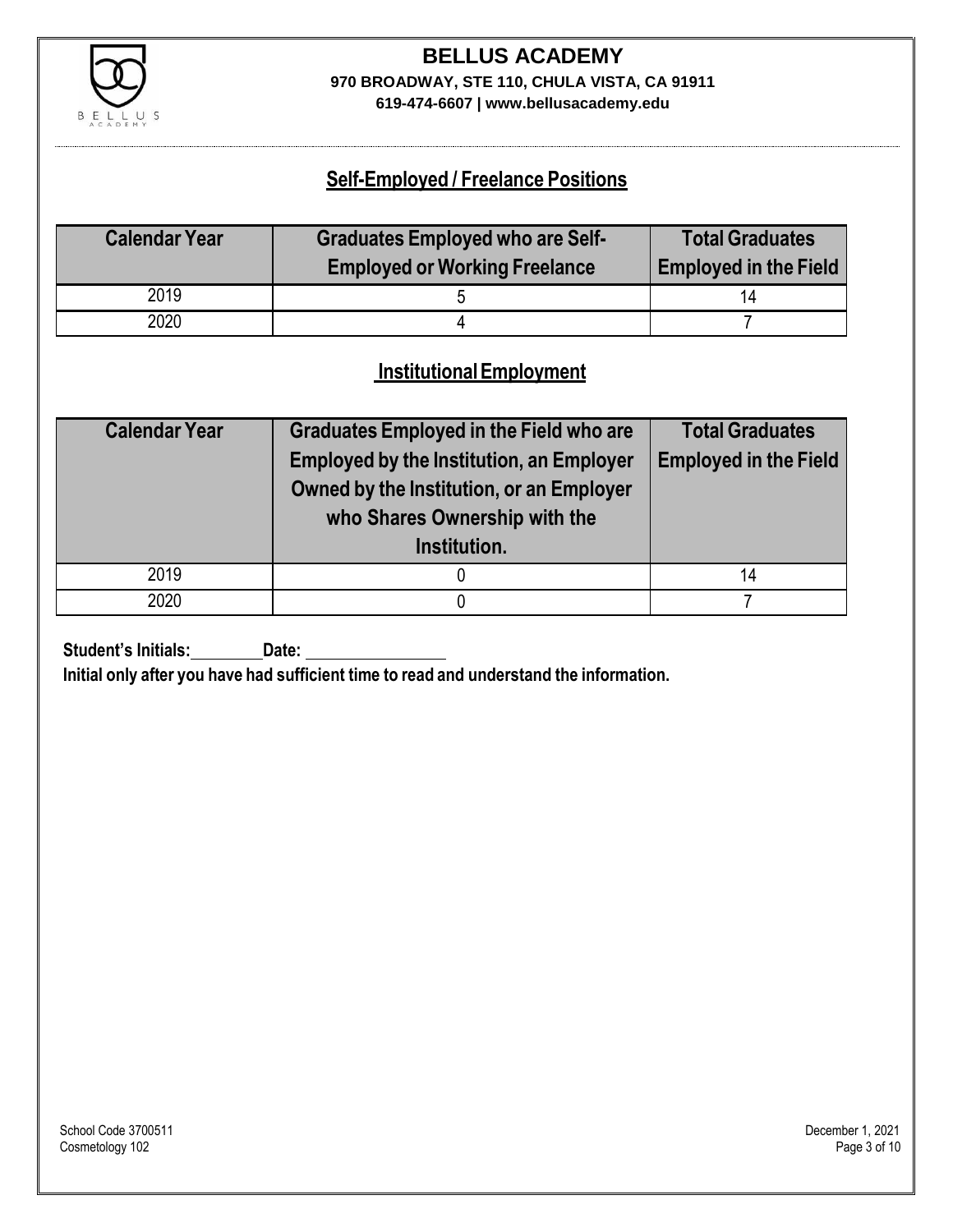

# **BELLUS ACADEMY 970 BROADWAY, STE 110, CHULA VISTA, CA 91911**

**619-474-6607 | www.bellusacademy.edu**

### **Self-Employed / Freelance Positions**

| <b>Calendar Year</b> | <b>Graduates Employed who are Self-</b> | <b>Total Graduates</b>       |
|----------------------|-----------------------------------------|------------------------------|
|                      | <b>Employed or Working Freelance</b>    | <b>Employed in the Field</b> |
| 2019                 |                                         | 14                           |
| 2020                 |                                         |                              |

### **InstitutionalEmployment**

| <b>Calendar Year</b> | <b>Graduates Employed in the Field who are</b><br><b>Employed by the Institution, an Employer</b><br>Owned by the Institution, or an Employer<br>who Shares Ownership with the<br>Institution. | <b>Total Graduates</b><br><b>Employed in the Field</b> |
|----------------------|------------------------------------------------------------------------------------------------------------------------------------------------------------------------------------------------|--------------------------------------------------------|
| 2019                 |                                                                                                                                                                                                | 14                                                     |
| 2020                 |                                                                                                                                                                                                |                                                        |

**Student's Initials:** Date:

**Initial only after you have had sufficient time to read and understand the information.**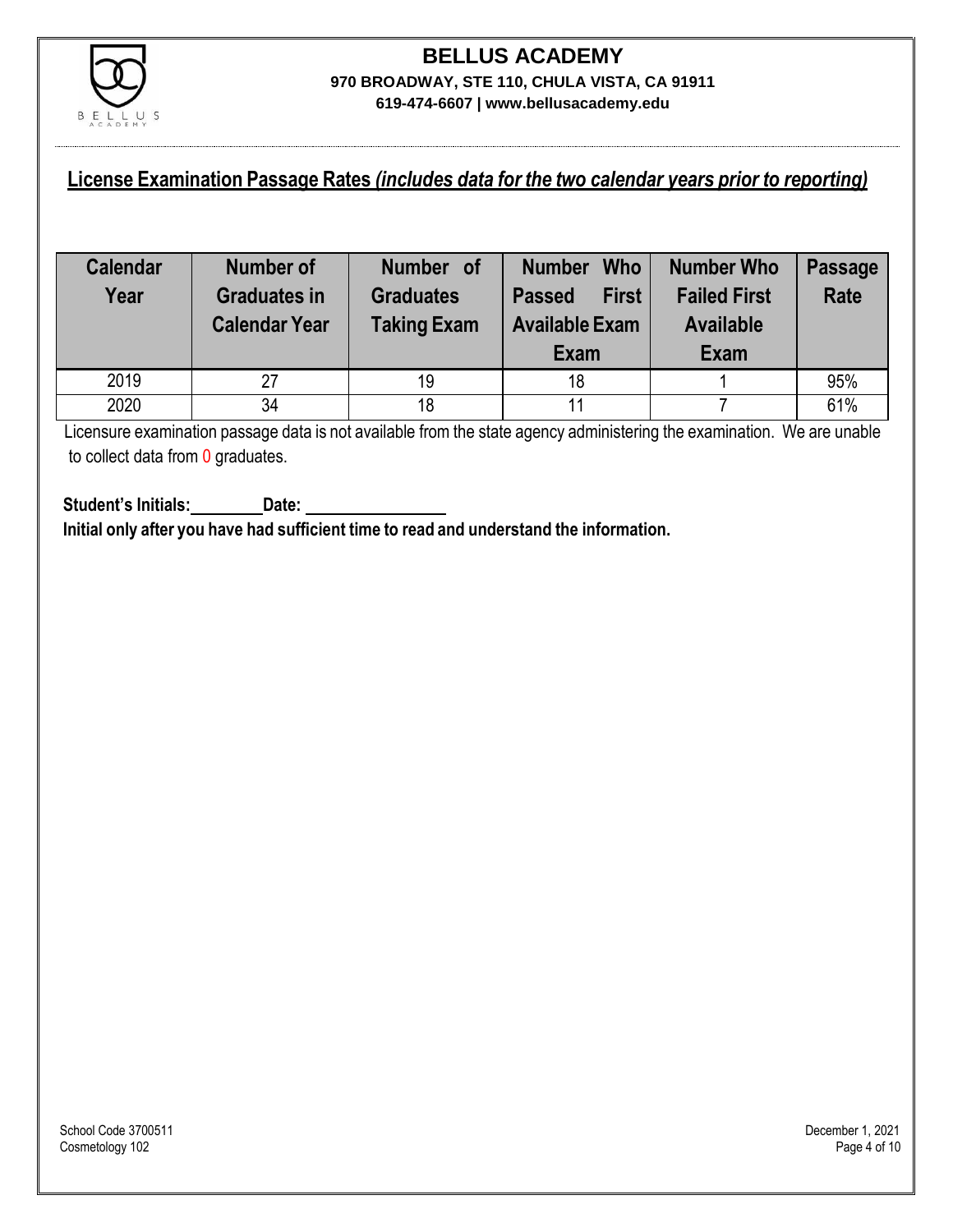

### **License Examination Passage Rates** *(includes data for the two calendar years prior to reporting)*

| <b>Calendar</b><br>Year | <b>Number of</b><br><b>Graduates in</b><br><b>Calendar Year</b> | Number of<br><b>Graduates</b><br><b>Taking Exam</b> | <b>Who</b><br><b>Number</b><br><b>First</b><br><b>Passed</b><br><b>Available Exam</b><br>Exam | <b>Number Who</b><br><b>Failed First</b><br><b>Available</b><br>Exam | <b>Passage</b><br><b>Rate</b> |
|-------------------------|-----------------------------------------------------------------|-----------------------------------------------------|-----------------------------------------------------------------------------------------------|----------------------------------------------------------------------|-------------------------------|
| 2019                    | 27                                                              | 19                                                  | 18                                                                                            |                                                                      | 95%                           |
| 2020                    | 34                                                              | 18                                                  | 11                                                                                            |                                                                      | 61%                           |

Licensure examination passage data is not available from the state agency administering the examination. We are unable to collect data from 0 graduates.

**Student's Initials: Date: Initial only after you have had sufficient time to read and understand the information.**

School Code 3700511 December 1, 2021<br>Cosmetology 102 Page 4 of 10 Cosmetology 102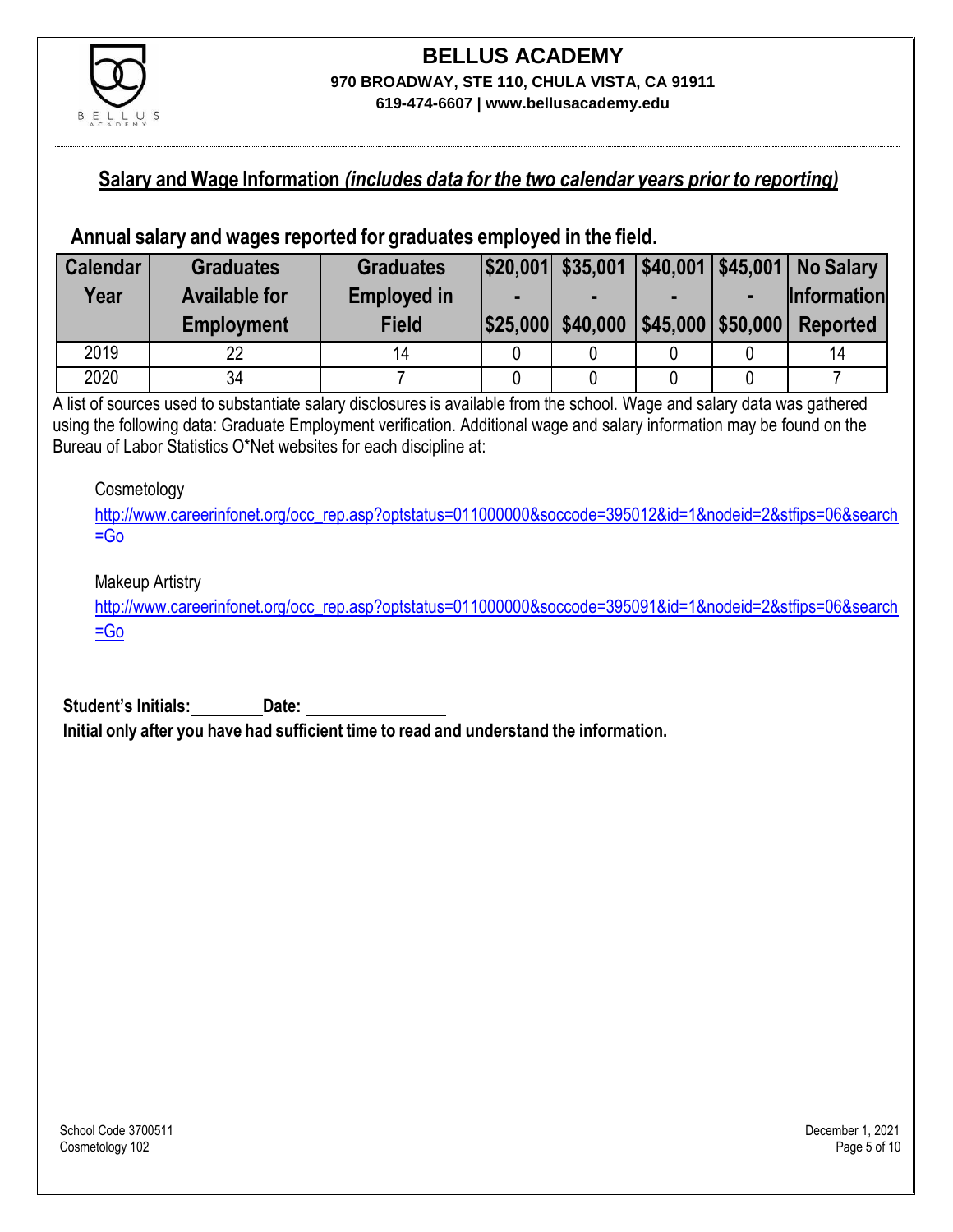

#### **Salary and Wage Information** *(includes data for the two calendar years prior to reporting)*

#### **Annual salary and wages reported for graduates employed in the field.**

| <b>Calendar</b> | <b>Graduates</b>     | <b>Graduates</b>   |                   |                      |                | $ $20,001$ $$35,001$ $ $40,001$ $ $45,001$ No Salary |
|-----------------|----------------------|--------------------|-------------------|----------------------|----------------|------------------------------------------------------|
| Year            | <b>Available for</b> | <b>Employed in</b> |                   |                      | $\blacksquare$ | <b>Information</b>                                   |
|                 | <b>Employment</b>    | <b>Field</b>       | \$25,000 \$40,000 | $ $45,000$ $$50,000$ |                | <b>Reported</b>                                      |
| 2019            | 22                   |                    |                   |                      |                | 14                                                   |
| 2020            | 34                   |                    |                   |                      |                |                                                      |

A list of sources used to substantiate salary disclosures is available from the school. Wage and salary data was gathered using the following data: Graduate Employment verification. Additional wage and salary information may be found on the Bureau of Labor Statistics O\*Net websites for each discipline at:

#### **Cosmetology**

[http://www.careerinfonet.org/occ\\_rep.asp?optstatus=011000000&soccode=395012&id=1&nodeid=2&stfips=06&search](http://www.careerinfonet.org/occ_rep.asp?optstatus=011000000&soccode=395012&id=1&nodeid=2&stfips=06&search=Go) [=Go](http://www.careerinfonet.org/occ_rep.asp?optstatus=011000000&soccode=395012&id=1&nodeid=2&stfips=06&search=Go)

#### Makeup Artistry

[http://www.careerinfonet.org/occ\\_rep.asp?optstatus=011000000&soccode=395091&id=1&nodeid=2&stfips=06&search](http://www.careerinfonet.org/occ_rep.asp?optstatus=011000000&soccode=395091&id=1&nodeid=2&stfips=06&search=Go)  $=$ Go

**Student's Initials: Date: Initial only after you have had sufficient time to read and understand the information.**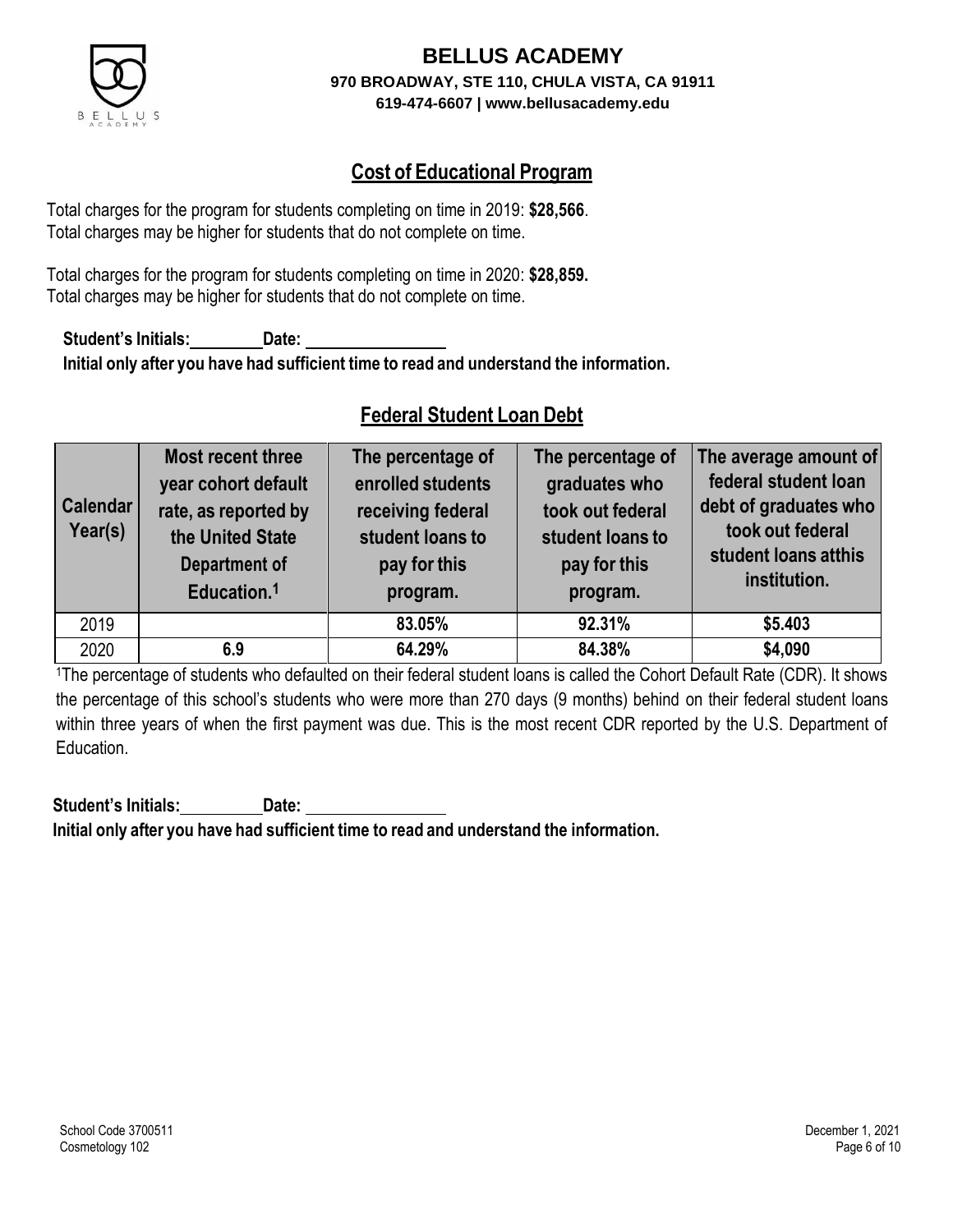

### **Cost of Educational Program**

Total charges for the program for students completing on time in 2019: **\$28,566**. Total charges may be higher for students that do not complete on time.

Total charges for the program for students completing on time in 2020: **\$28,859.** Total charges may be higher for students that do not complete on time.

**Student's Initials: Date: Initial only after you have had sufficient time to read and understand the information.**

### **Federal Student Loan Debt**

| <b>Calendar</b><br>Year(s) | Most recent three<br>year cohort default<br>rate, as reported by<br>the United State<br>Department of<br>Education. <sup>1</sup> | The percentage of<br>enrolled students<br>receiving federal<br>student loans to<br>pay for this<br>program. | The percentage of<br>graduates who<br>took out federal<br>student loans to<br>pay for this<br>program. | The average amount of<br>federal student loan<br>debt of graduates who<br>took out federal<br>student loans atthis<br>institution. |
|----------------------------|----------------------------------------------------------------------------------------------------------------------------------|-------------------------------------------------------------------------------------------------------------|--------------------------------------------------------------------------------------------------------|------------------------------------------------------------------------------------------------------------------------------------|
| 2019                       |                                                                                                                                  | 83.05%                                                                                                      | 92.31%                                                                                                 | \$5.403                                                                                                                            |
| 2020                       | 6.9                                                                                                                              | 64.29%                                                                                                      | 84.38%                                                                                                 | \$4,090                                                                                                                            |

<sup>1</sup>The percentage of students who defaulted on their federal student loans is called the Cohort Default Rate (CDR). It shows the percentage of this school's students who were more than 270 days (9 months) behind on their federal student loans within three years of when the first payment was due. This is the most recent CDR reported by the U.S. Department of Education.

**Student's Initials: Date: Initial only after you have had sufficient time to read and understand the information.**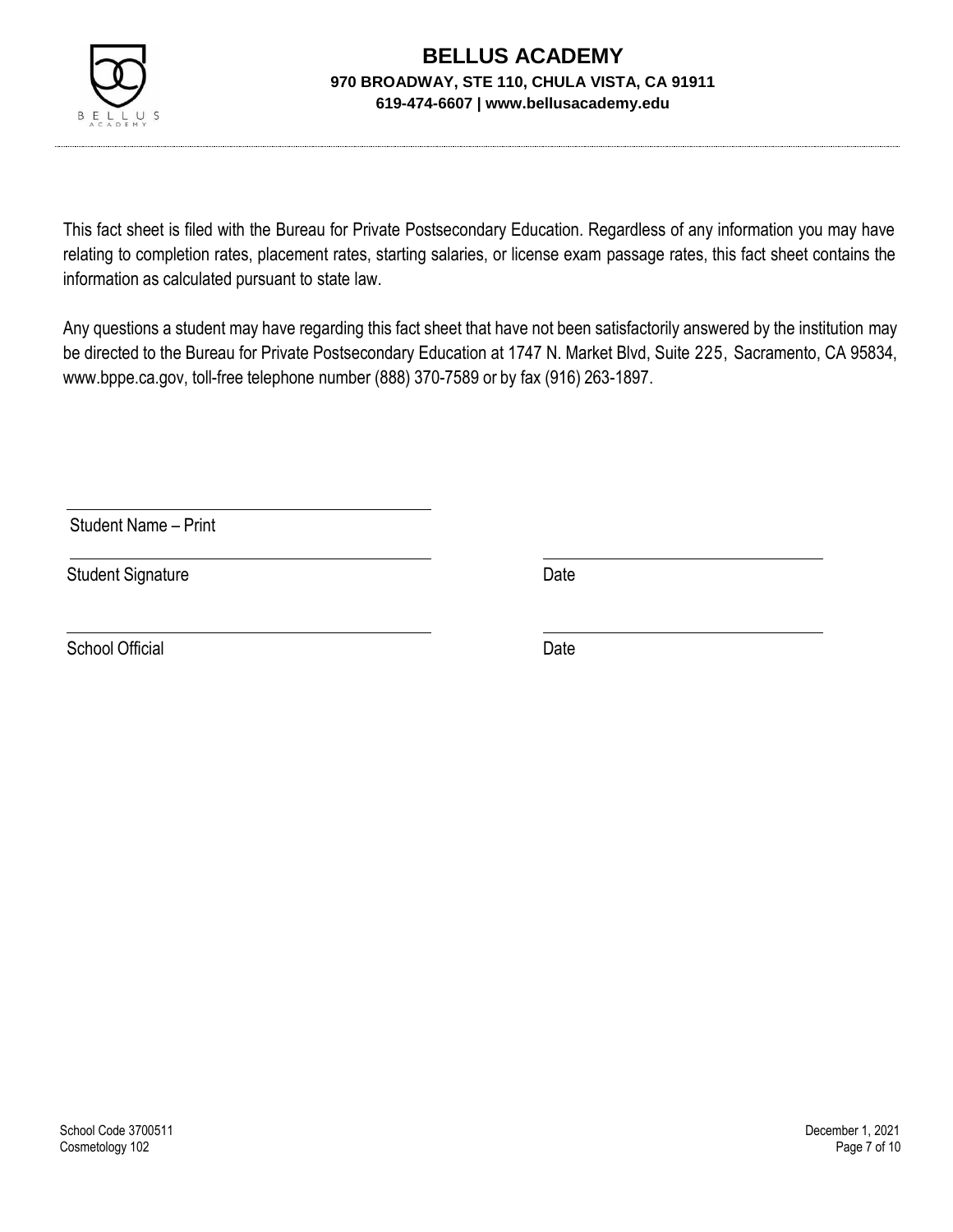

This fact sheet is filed with the Bureau for Private Postsecondary Education. Regardless of any information you may have relating to completion rates, placement rates, starting salaries, or license exam passage rates, this fact sheet contains the information as calculated pursuant to state law.

Any questions a student may have regarding this fact sheet that have not been satisfactorily answered by the institution may be directed to the Bureau for Private Postsecondary Education at 1747 N. Market Blvd, Suite 225, Sacramento, CA 95834, [www.bppe.ca.gov,](http://www.bppe.ca.gov/) toll-free telephone number (888) 370-7589 or by fax (916) 263-1897.

Student Name – Print

Student Signature Date Date

School Official Date Date Date Date Date Date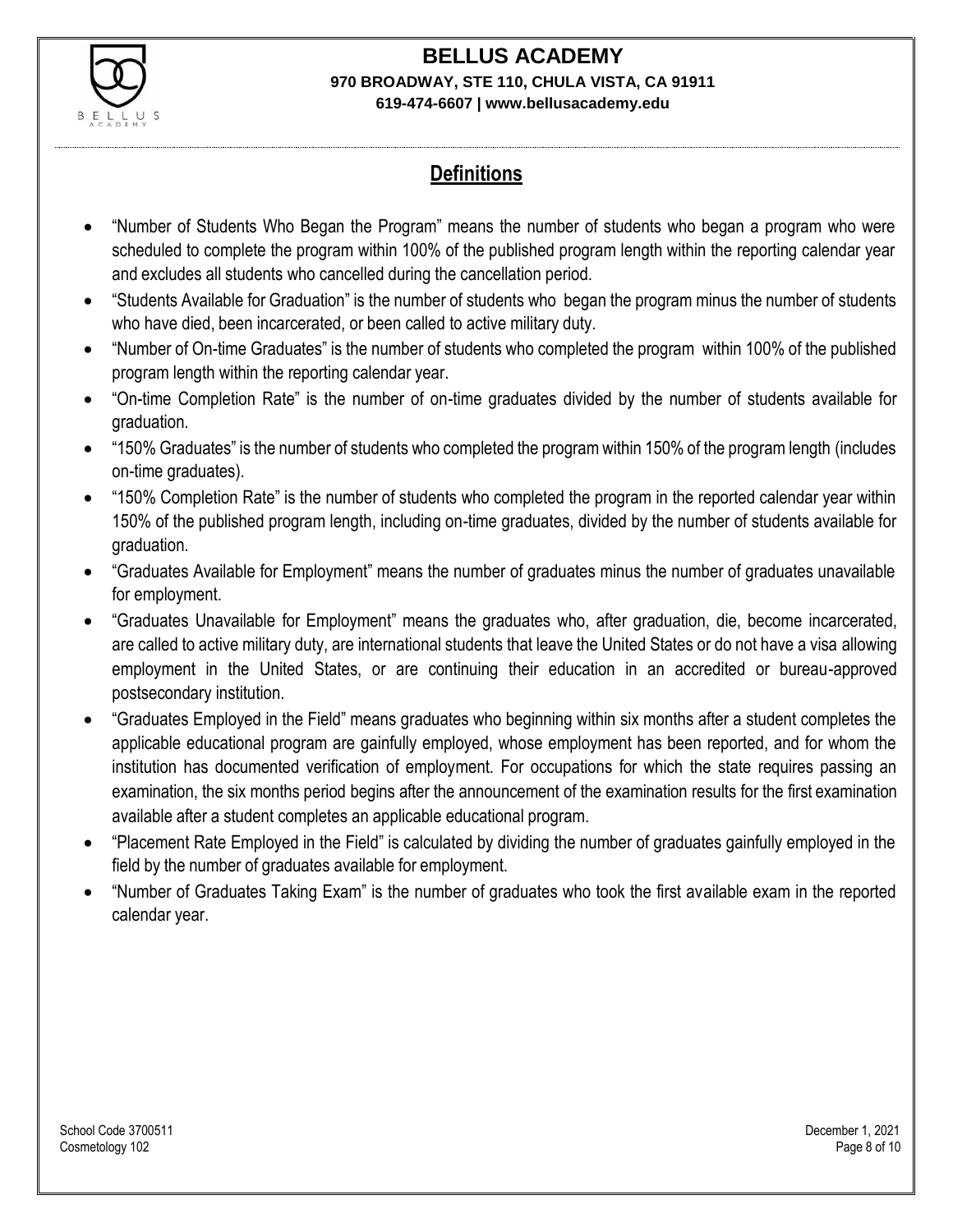

## **Definitions**

- "Number of Students Who Began the Program" means the number of students who began a program who were scheduled to complete the program within 100% of the published program length within the reporting calendar year and excludes all students who cancelled during the cancellation period.
- "Students Available for Graduation" is the number of students who began the program minus the number of students who have died, been incarcerated, or been called to active military duty.
- "Number of On-time Graduates" is the number of students who completed the program within 100% of the published program length within the reporting calendar year.
- "On-time Completion Rate" is the number of on-time graduates divided by the number of students available for graduation.
- "150% Graduates" is the number of students who completed the program within 150% of the program length (includes on-time graduates).
- "150% Completion Rate" is the number of students who completed the program in the reported calendar year within 150% of the published program length, including on-time graduates, divided by the number of students available for graduation.
- "Graduates Available for Employment" means the number of graduates minus the number of graduates unavailable for employment.
- "Graduates Unavailable for Employment" means the graduates who, after graduation, die, become incarcerated, are called to active military duty, are international students that leave the United States or do not have a visa allowing employment in the United States, or are continuing their education in an accredited or bureau-approved postsecondary institution.
- "Graduates Employed in the Field" means graduates who beginning within six months after a student completes the applicable educational program are gainfully employed, whose employment has been reported, and for whom the institution has documented verification of employment. For occupations for which the state requires passing an examination, the six months period begins after the announcement of the examination results for the first examination available after a student completes an applicable educational program.
- "Placement Rate Employed in the Field" is calculated by dividing the number of graduates gainfully employed in the field by the number of graduates available for employment.
- "Number of Graduates Taking Exam" is the number of graduates who took the first available exam in the reported calendar year.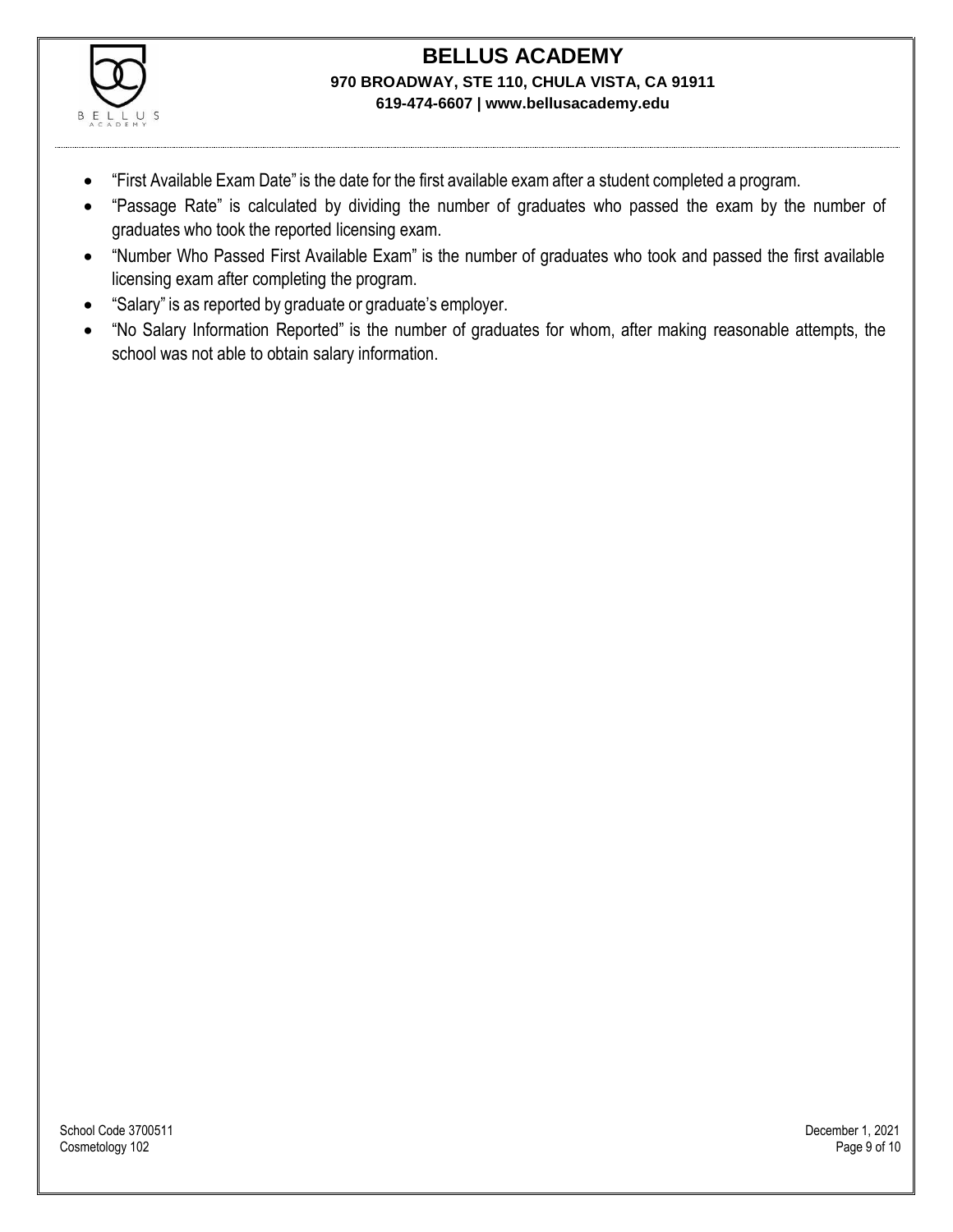

- "First Available Exam Date" is the date for the first available exam after a student completed a program.
- "Passage Rate" is calculated by dividing the number of graduates who passed the exam by the number of graduates who took the reported licensing exam.
- "Number Who Passed First Available Exam" is the number of graduates who took and passed the first available licensing exam after completing the program.
- "Salary" is as reported by graduate or graduate's employer.
- "No Salary Information Reported" is the number of graduates for whom, after making reasonable attempts, the school was not able to obtain salary information.